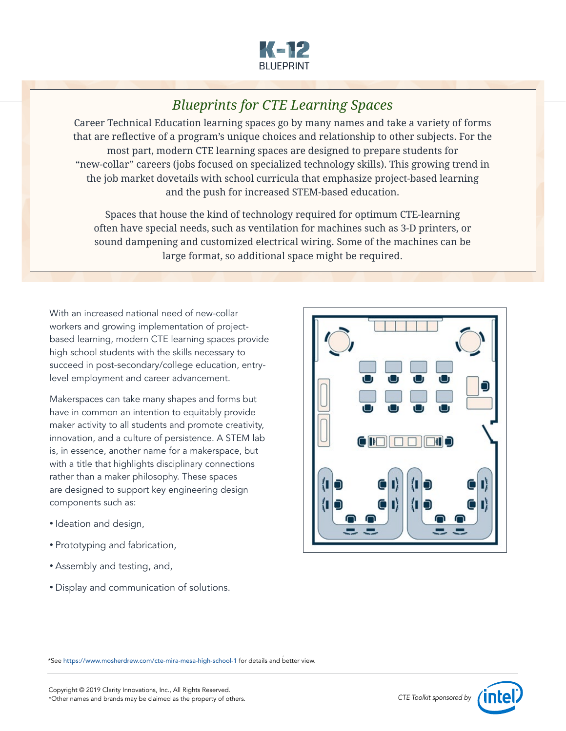

# *Blueprints for CTE Learning Spaces*

Career Technical Education learning spaces go by many names and take a variety of forms that are reflective of a program's unique choices and relationship to other subjects. For the most part, modern CTE learning spaces are designed to prepare students for "new-collar" careers (jobs focused on specialized technology skills). This growing trend in the job market dovetails with school curricula that emphasize project-based learning and the push for increased STEM-based education.

Spaces that house the kind of technology required for optimum CTE-learning often have special needs, such as ventilation for machines such as 3-D printers, or sound dampening and customized electrical wiring. Some of the machines can be large format, so additional space might be required.

With an increased national need of new-collar workers and growing implementation of projectbased learning, modern CTE learning spaces provide high school students with the skills necessary to succeed in post-secondary/college education, entrylevel employment and career advancement.

Makerspaces can take many shapes and forms but have in common an intention to equitably provide maker activity to all students and promote creativity, innovation, and a culture of persistence. A STEM lab is, in essence, another name for a makerspace, but with a title that highlights disciplinary connections rather than a maker philosophy. These spaces are designed to support key engineering design components such as:

- Ideation and design,
- Prototyping and fabrication,
- Assembly and testing, and,
- Display and communication of solutions.



*– 1 –* \*See <https://www.mosherdrew.com/cte-mira-mesa-high-school-1> for details and better view.

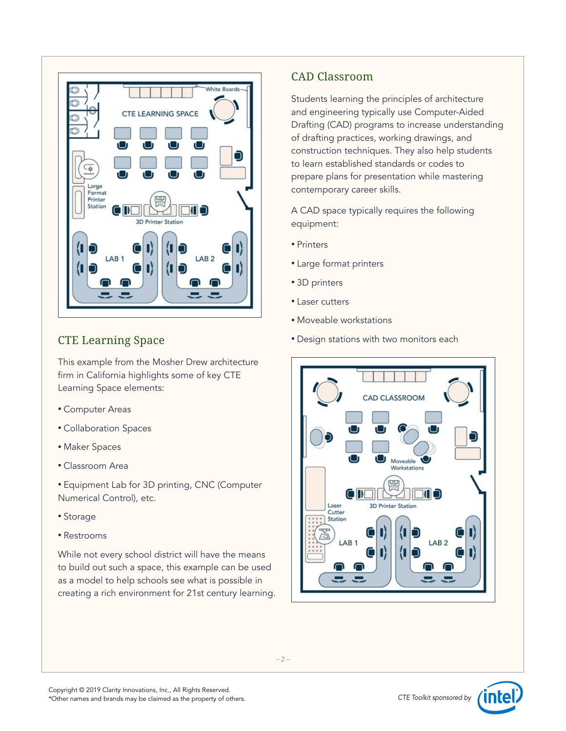

### CTE Learning Space

This example from the Mosher Drew architecture firm in California highlights some of key CTE Learning Space elements:

- Computer Areas
- Collaboration Spaces
- Maker Spaces
- Classroom Area
- Equipment Lab for 3D printing, CNC (Computer Numerical Control), etc.
- Storage
- Restrooms

While not every school district will have the means to build out such a space, this example can be used as a model to help schools see what is possible in creating a rich environment for 21st century learning.

### CAD Classroom

Students learning the principles of architecture and engineering typically use Computer-Aided Drafting (CAD) programs to increase understanding of drafting practices, working drawings, and construction techniques. They also help students to learn established standards or codes to prepare plans for presentation while mastering contemporary career skills.

A CAD space typically requires the following equipment:

- Printers
- Large format printers
- 3D printers
- Laser cutters
- Moveable workstations
- Design stations with two monitors each



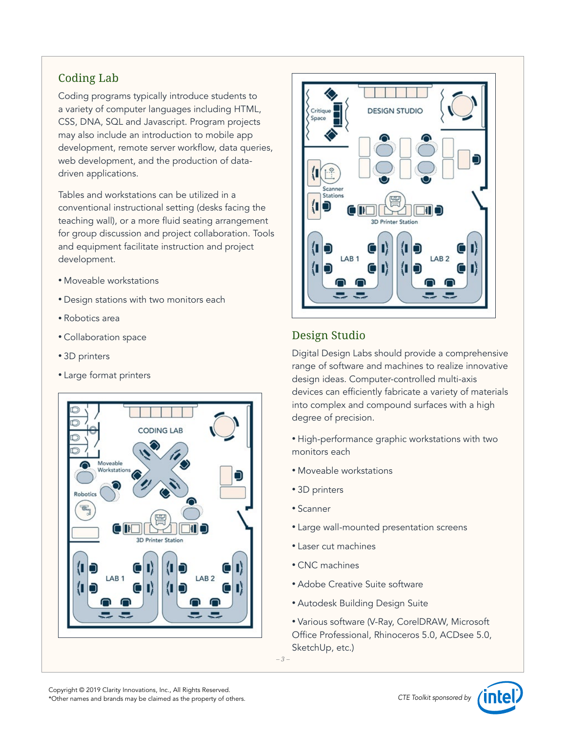## Coding Lab

Coding programs typically introduce students to a variety of computer languages including HTML, CSS, DNA, SQL and Javascript. Program projects may also include an introduction to mobile app development, remote server workflow, data queries, web development, and the production of datadriven applications.

Tables and workstations can be utilized in a conventional instructional setting (desks facing the teaching wall), or a more fluid seating arrangement for group discussion and project collaboration. Tools and equipment facilitate instruction and project development.

- Moveable workstations
- Design stations with two monitors each
- Robotics area
- Collaboration space
- 3D printers
- Large format printers





# Design Studio

Digital Design Labs should provide a comprehensive range of software and machines to realize innovative design ideas. Computer-controlled multi-axis devices can efficiently fabricate a variety of materials into complex and compound surfaces with a high degree of precision.

- High-performance graphic workstations with two monitors each
- Moveable workstations
- 3D printers
- Scanner
- Large wall-mounted presentation screens
- Laser cut machines
- CNC machines
- Adobe Creative Suite software
- Autodesk Building Design Suite
- Various software (V-Ray, CorelDRAW, Microsoft Office Professional, Rhinoceros 5.0, ACDsee 5.0, SketchUp, etc.)